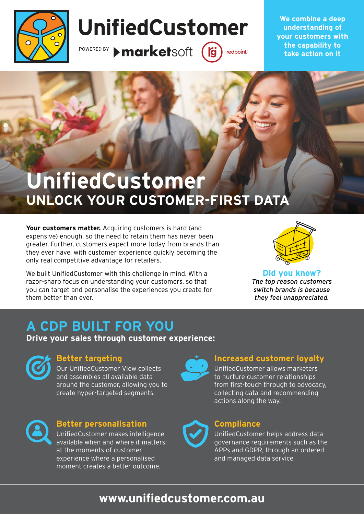

# UnifiedCustomer

POWERED BY > marketsoft

 $\int$ redpoint<sup>®</sup>

**We combine a deep understanding of your customers with the capability to take action on it**

## **UnifiedCustomer UNLOCK YOUR CUSTOMER-FIRST DATA**

Your customers matter. Acquiring customers is hard (and expensive) enough, so the need to retain them has never been greater. Further, customers expect more today from brands than they ever have, with customer experience quickly becoming the only real competitive advantage for retailers.

We built UnifiedCustomer with this challenge in mind. With a razor-sharp focus on understanding your customers, so that you can target and personalise the experiences you create for them better than ever.



**Did you know?** *The top reason customers switch brands is because they feel unappreciated.*

## **A CDP BUILT FOR YOU**

**Drive your sales through customer experience:**



#### **Better targeting**

Our UnifiedCustomer View collects and assembles all available data around the customer, allowing you to create hyper-targeted segments.



#### **Better personalisation**

UnifiedCustomer makes intelligence available when and where it matters: at the moments of customer experience where a personalised moment creates a better outcome.



#### **Increased customer loyalty**

UnifiedCustomer allows marketers to nurture customer relationships from first-touch through to advocacy, collecting data and recommending actions along the way.



#### **Compliance**

UnifiedCustomer helps address data governance requirements such as the APPs and GDPR, through an ordered and managed data service.

### **www.unifiedcustomer.com.au**